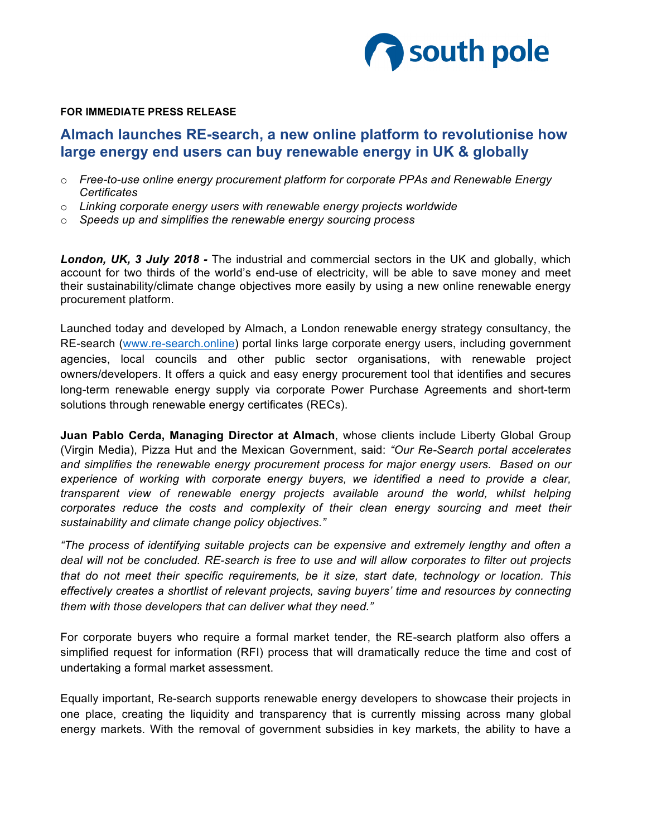

#### **FOR IMMEDIATE PRESS RELEASE**

# **Almach launches RE-search, a new online platform to revolutionise how large energy end users can buy renewable energy in UK & globally**

- o *Free-to-use online energy procurement platform for corporate PPAs and Renewable Energy Certificates*
- o *Linking corporate energy users with renewable energy projects worldwide*
- o *Speeds up and simplifies the renewable energy sourcing process*

*London, UK, 3 July 2018 -* The industrial and commercial sectors in the UK and globally, which account for two thirds of the world's end-use of electricity, will be able to save money and meet their sustainability/climate change objectives more easily by using a new online renewable energy procurement platform.

Launched today and developed by Almach, a London renewable energy strategy consultancy, the RE-search (www.re-search.online) portal links large corporate energy users, including government agencies, local councils and other public sector organisations, with renewable project owners/developers. It offers a quick and easy energy procurement tool that identifies and secures long-term renewable energy supply via corporate Power Purchase Agreements and short-term solutions through renewable energy certificates (RECs).

**Juan Pablo Cerda, Managing Director at Almach**, whose clients include Liberty Global Group (Virgin Media), Pizza Hut and the Mexican Government, said: *"Our Re-Search portal accelerates and simplifies the renewable energy procurement process for major energy users. Based on our experience of working with corporate energy buyers, we identified a need to provide a clear, transparent view of renewable energy projects available around the world, whilst helping corporates reduce the costs and complexity of their clean energy sourcing and meet their sustainability and climate change policy objectives."* 

*"The process of identifying suitable projects can be expensive and extremely lengthy and often a deal will not be concluded. RE-search is free to use and will allow corporates to filter out projects that do not meet their specific requirements, be it size, start date, technology or location. This effectively creates a shortlist of relevant projects, saving buyers' time and resources by connecting them with those developers that can deliver what they need."*

For corporate buyers who require a formal market tender, the RE-search platform also offers a simplified request for information (RFI) process that will dramatically reduce the time and cost of undertaking a formal market assessment.

Equally important, Re-search supports renewable energy developers to showcase their projects in one place, creating the liquidity and transparency that is currently missing across many global energy markets. With the removal of government subsidies in key markets, the ability to have a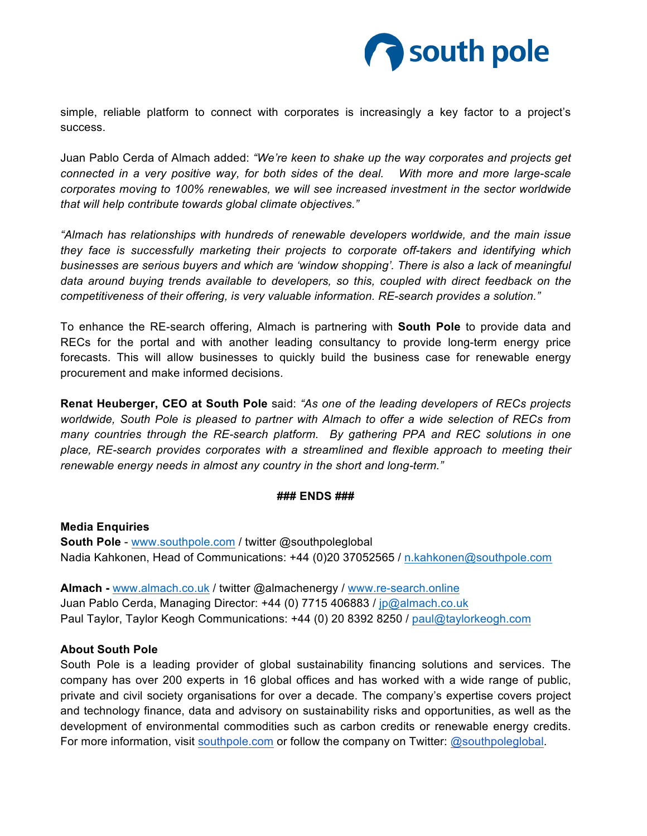

simple, reliable platform to connect with corporates is increasingly a key factor to a project's success.

Juan Pablo Cerda of Almach added: *"We're keen to shake up the way corporates and projects get connected in a very positive way, for both sides of the deal. With more and more large-scale corporates moving to 100% renewables, we will see increased investment in the sector worldwide that will help contribute towards global climate objectives."*

*"Almach has relationships with hundreds of renewable developers worldwide, and the main issue they face is successfully marketing their projects to corporate off-takers and identifying which businesses are serious buyers and which are 'window shopping'. There is also a lack of meaningful data around buying trends available to developers, so this, coupled with direct feedback on the competitiveness of their offering, is very valuable information. RE-search provides a solution."*

To enhance the RE-search offering, Almach is partnering with **South Pole** to provide data and RECs for the portal and with another leading consultancy to provide long-term energy price forecasts. This will allow businesses to quickly build the business case for renewable energy procurement and make informed decisions.

**Renat Heuberger, CEO at South Pole** said: *"As one of the leading developers of RECs projects worldwide, South Pole is pleased to partner with Almach to offer a wide selection of RECs from many countries through the RE-search platform. By gathering PPA and REC solutions in one place, RE-search provides corporates with a streamlined and flexible approach to meeting their renewable energy needs in almost any country in the short and long-term."*

### **### ENDS ###**

**Media Enquiries South Pole** - www.southpole.com / twitter @southpoleglobal Nadia Kahkonen, Head of Communications: +44 (0)20 37052565 / n.kahkonen@southpole.com

**Almach -** www.almach.co.uk / twitter @almachenergy / www.re-search.online Juan Pablo Cerda, Managing Director: +44 (0) 7715 406883 / jp@almach.co.uk Paul Taylor, Taylor Keogh Communications: +44 (0) 20 8392 8250 / paul@taylorkeogh.com

### **About South Pole**

South Pole is a leading provider of global sustainability financing solutions and services. The company has over 200 experts in 16 global offices and has worked with a wide range of public, private and civil society organisations for over a decade. The company's expertise covers project and technology finance, data and advisory on sustainability risks and opportunities, as well as the development of environmental commodities such as carbon credits or renewable energy credits. For more information, visit southpole.com or follow the company on Twitter: @southpoleglobal.